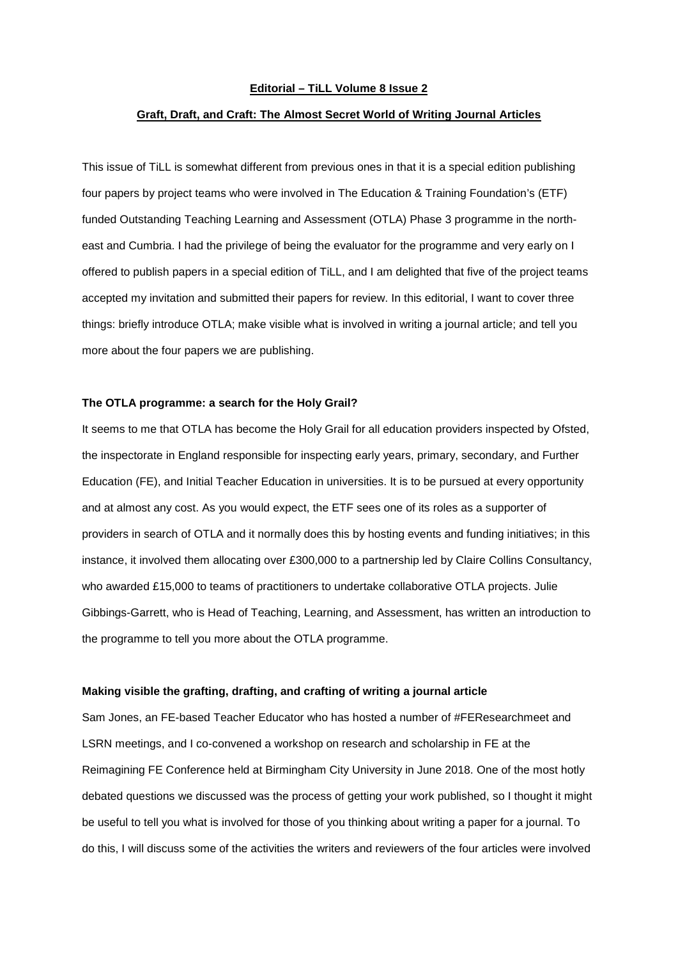## **Editorial – TiLL Volume 8 Issue 2**

### **Graft, Draft, and Craft: The Almost Secret World of Writing Journal Articles**

This issue of TiLL is somewhat different from previous ones in that it is a special edition publishing four papers by project teams who were involved in The Education & Training Foundation's (ETF) funded Outstanding Teaching Learning and Assessment (OTLA) Phase 3 programme in the northeast and Cumbria. I had the privilege of being the evaluator for the programme and very early on I offered to publish papers in a special edition of TiLL, and I am delighted that five of the project teams accepted my invitation and submitted their papers for review. In this editorial, I want to cover three things: briefly introduce OTLA; make visible what is involved in writing a journal article; and tell you more about the four papers we are publishing.

#### **The OTLA programme: a search for the Holy Grail?**

It seems to me that OTLA has become the Holy Grail for all education providers inspected by Ofsted, the inspectorate in England responsible for inspecting early years, primary, secondary, and Further Education (FE), and Initial Teacher Education in universities. It is to be pursued at every opportunity and at almost any cost. As you would expect, the ETF sees one of its roles as a supporter of providers in search of OTLA and it normally does this by hosting events and funding initiatives; in this instance, it involved them allocating over £300,000 to a partnership led by Claire Collins Consultancy, who awarded £15,000 to teams of practitioners to undertake collaborative OTLA projects. Julie Gibbings-Garrett, who is Head of Teaching, Learning, and Assessment, has written an introduction to the programme to tell you more about the OTLA programme.

# **Making visible the grafting, drafting, and crafting of writing a journal article**

Sam Jones, an FE-based Teacher Educator who has hosted a number of #FEResearchmeet and LSRN meetings, and I co-convened a workshop on research and scholarship in FE at the Reimagining FE Conference held at Birmingham City University in June 2018. One of the most hotly debated questions we discussed was the process of getting your work published, so I thought it might be useful to tell you what is involved for those of you thinking about writing a paper for a journal. To do this, I will discuss some of the activities the writers and reviewers of the four articles were involved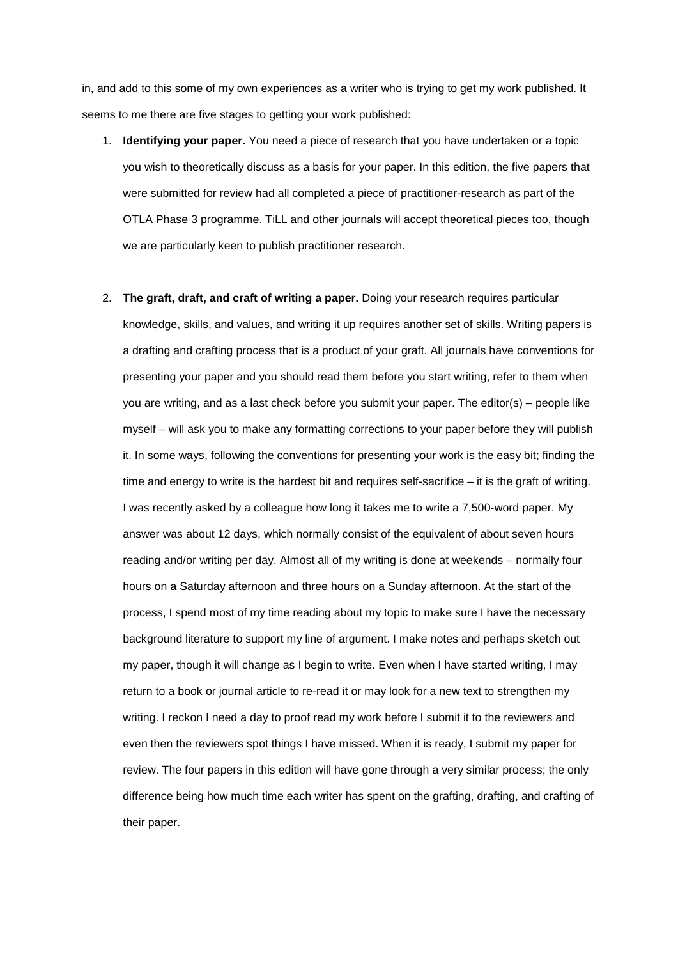in, and add to this some of my own experiences as a writer who is trying to get my work published. It seems to me there are five stages to getting your work published:

- 1. **Identifying your paper.** You need a piece of research that you have undertaken or a topic you wish to theoretically discuss as a basis for your paper. In this edition, the five papers that were submitted for review had all completed a piece of practitioner-research as part of the OTLA Phase 3 programme. TiLL and other journals will accept theoretical pieces too, though we are particularly keen to publish practitioner research.
- 2. **The graft, draft, and craft of writing a paper.** Doing your research requires particular knowledge, skills, and values, and writing it up requires another set of skills. Writing papers is a drafting and crafting process that is a product of your graft. All journals have conventions for presenting your paper and you should read them before you start writing, refer to them when you are writing, and as a last check before you submit your paper. The editor(s) – people like myself – will ask you to make any formatting corrections to your paper before they will publish it. In some ways, following the conventions for presenting your work is the easy bit; finding the time and energy to write is the hardest bit and requires self-sacrifice – it is the graft of writing. I was recently asked by a colleague how long it takes me to write a 7,500-word paper. My answer was about 12 days, which normally consist of the equivalent of about seven hours reading and/or writing per day. Almost all of my writing is done at weekends – normally four hours on a Saturday afternoon and three hours on a Sunday afternoon. At the start of the process, I spend most of my time reading about my topic to make sure I have the necessary background literature to support my line of argument. I make notes and perhaps sketch out my paper, though it will change as I begin to write. Even when I have started writing, I may return to a book or journal article to re-read it or may look for a new text to strengthen my writing. I reckon I need a day to proof read my work before I submit it to the reviewers and even then the reviewers spot things I have missed. When it is ready, I submit my paper for review. The four papers in this edition will have gone through a very similar process; the only difference being how much time each writer has spent on the grafting, drafting, and crafting of their paper.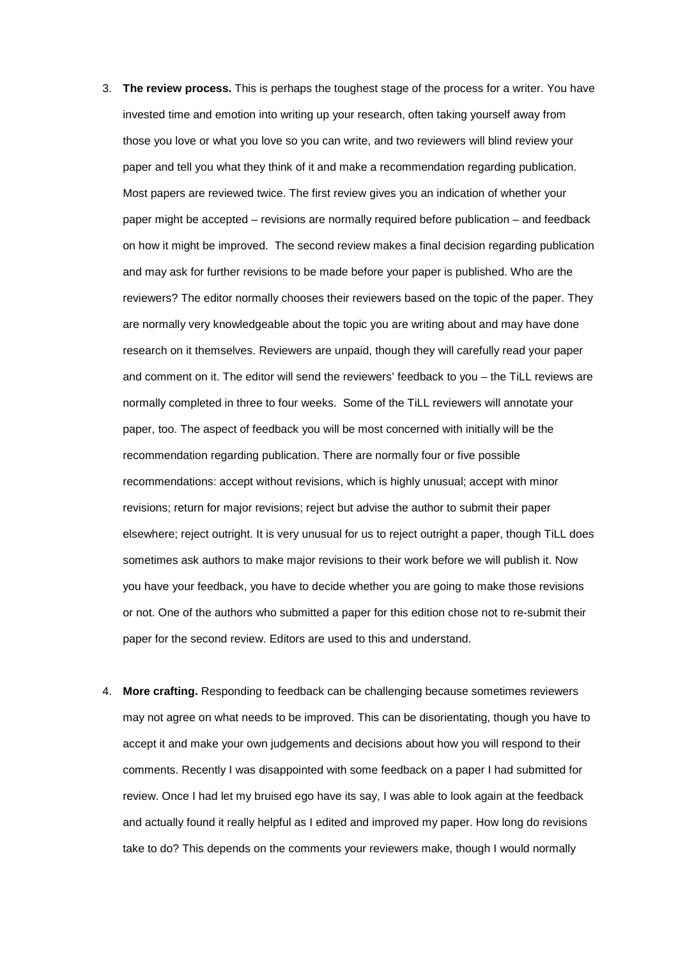- 3. **The review process.** This is perhaps the toughest stage of the process for a writer. You have invested time and emotion into writing up your research, often taking yourself away from those you love or what you love so you can write, and two reviewers will blind review your paper and tell you what they think of it and make a recommendation regarding publication. Most papers are reviewed twice. The first review gives you an indication of whether your paper might be accepted – revisions are normally required before publication – and feedback on how it might be improved. The second review makes a final decision regarding publication and may ask for further revisions to be made before your paper is published. Who are the reviewers? The editor normally chooses their reviewers based on the topic of the paper. They are normally very knowledgeable about the topic you are writing about and may have done research on it themselves. Reviewers are unpaid, though they will carefully read your paper and comment on it. The editor will send the reviewers' feedback to you – the TiLL reviews are normally completed in three to four weeks. Some of the TiLL reviewers will annotate your paper, too. The aspect of feedback you will be most concerned with initially will be the recommendation regarding publication. There are normally four or five possible recommendations: accept without revisions, which is highly unusual; accept with minor revisions; return for major revisions; reject but advise the author to submit their paper elsewhere; reject outright. It is very unusual for us to reject outright a paper, though TiLL does sometimes ask authors to make major revisions to their work before we will publish it. Now you have your feedback, you have to decide whether you are going to make those revisions or not. One of the authors who submitted a paper for this edition chose not to re-submit their paper for the second review. Editors are used to this and understand.
- 4. **More crafting.** Responding to feedback can be challenging because sometimes reviewers may not agree on what needs to be improved. This can be disorientating, though you have to accept it and make your own judgements and decisions about how you will respond to their comments. Recently I was disappointed with some feedback on a paper I had submitted for review. Once I had let my bruised ego have its say, I was able to look again at the feedback and actually found it really helpful as I edited and improved my paper. How long do revisions take to do? This depends on the comments your reviewers make, though I would normally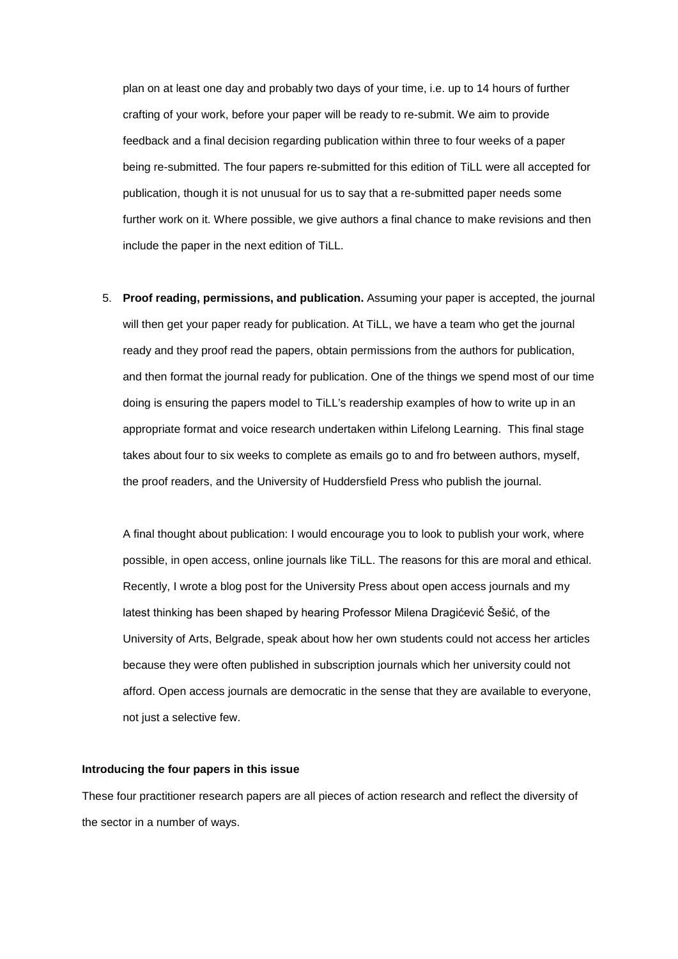plan on at least one day and probably two days of your time, i.e. up to 14 hours of further crafting of your work, before your paper will be ready to re-submit. We aim to provide feedback and a final decision regarding publication within three to four weeks of a paper being re-submitted. The four papers re-submitted for this edition of TiLL were all accepted for publication, though it is not unusual for us to say that a re-submitted paper needs some further work on it. Where possible, we give authors a final chance to make revisions and then include the paper in the next edition of TiLL.

5. **Proof reading, permissions, and publication.** Assuming your paper is accepted, the journal will then get your paper ready for publication. At TiLL, we have a team who get the journal ready and they proof read the papers, obtain permissions from the authors for publication, and then format the journal ready for publication. One of the things we spend most of our time doing is ensuring the papers model to TiLL's readership examples of how to write up in an appropriate format and voice research undertaken within Lifelong Learning. This final stage takes about four to six weeks to complete as emails go to and fro between authors, myself, the proof readers, and the University of Huddersfield Press who publish the journal.

A final thought about publication: I would encourage you to look to publish your work, where possible, in open access, online journals like TiLL. The reasons for this are moral and ethical. Recently, I wrote a blog post for the University Press about open access journals and my latest thinking has been shaped by hearing Professor Milena Dragićević Šešić, of the University of Arts, Belgrade, speak about how her own students could not access her articles because they were often published in subscription journals which her university could not afford. Open access journals are democratic in the sense that they are available to everyone, not just a selective few.

#### **Introducing the four papers in this issue**

These four practitioner research papers are all pieces of action research and reflect the diversity of the sector in a number of ways.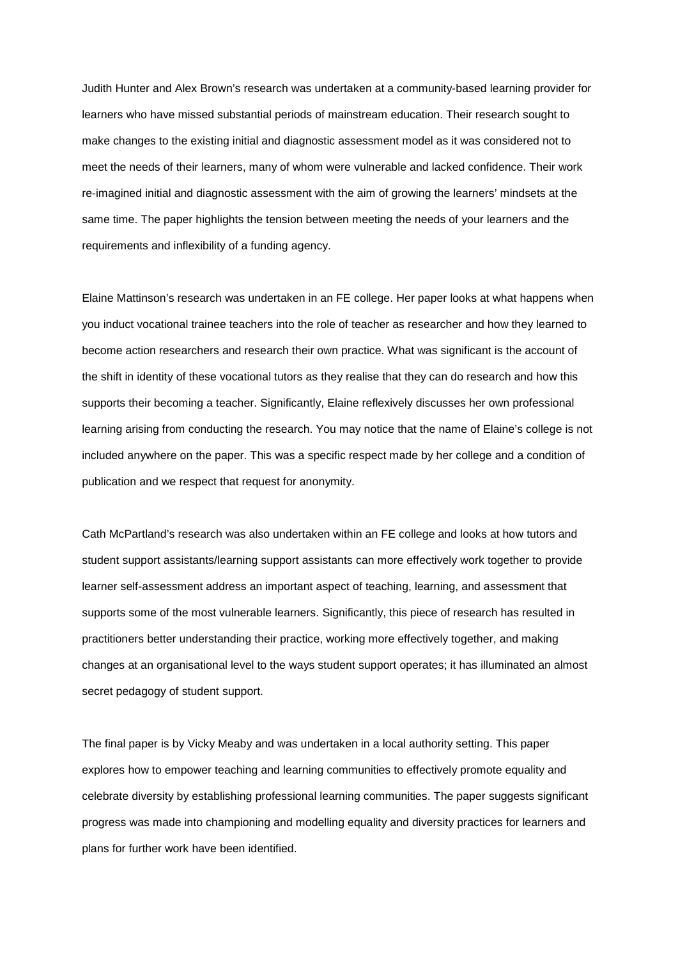Judith Hunter and Alex Brown's research was undertaken at a community-based learning provider for learners who have missed substantial periods of mainstream education. Their research sought to make changes to the existing initial and diagnostic assessment model as it was considered not to meet the needs of their learners, many of whom were vulnerable and lacked confidence. Their work re-imagined initial and diagnostic assessment with the aim of growing the learners' mindsets at the same time. The paper highlights the tension between meeting the needs of your learners and the requirements and inflexibility of a funding agency.

Elaine Mattinson's research was undertaken in an FE college. Her paper looks at what happens when you induct vocational trainee teachers into the role of teacher as researcher and how they learned to become action researchers and research their own practice. What was significant is the account of the shift in identity of these vocational tutors as they realise that they can do research and how this supports their becoming a teacher. Significantly, Elaine reflexively discusses her own professional learning arising from conducting the research. You may notice that the name of Elaine's college is not included anywhere on the paper. This was a specific respect made by her college and a condition of publication and we respect that request for anonymity.

Cath McPartland's research was also undertaken within an FE college and looks at how tutors and student support assistants/learning support assistants can more effectively work together to provide learner self-assessment address an important aspect of teaching, learning, and assessment that supports some of the most vulnerable learners. Significantly, this piece of research has resulted in practitioners better understanding their practice, working more effectively together, and making changes at an organisational level to the ways student support operates; it has illuminated an almost secret pedagogy of student support.

The final paper is by Vicky Meaby and was undertaken in a local authority setting. This paper explores how to empower teaching and learning communities to effectively promote equality and celebrate diversity by establishing professional learning communities. The paper suggests significant progress was made into championing and modelling equality and diversity practices for learners and plans for further work have been identified.